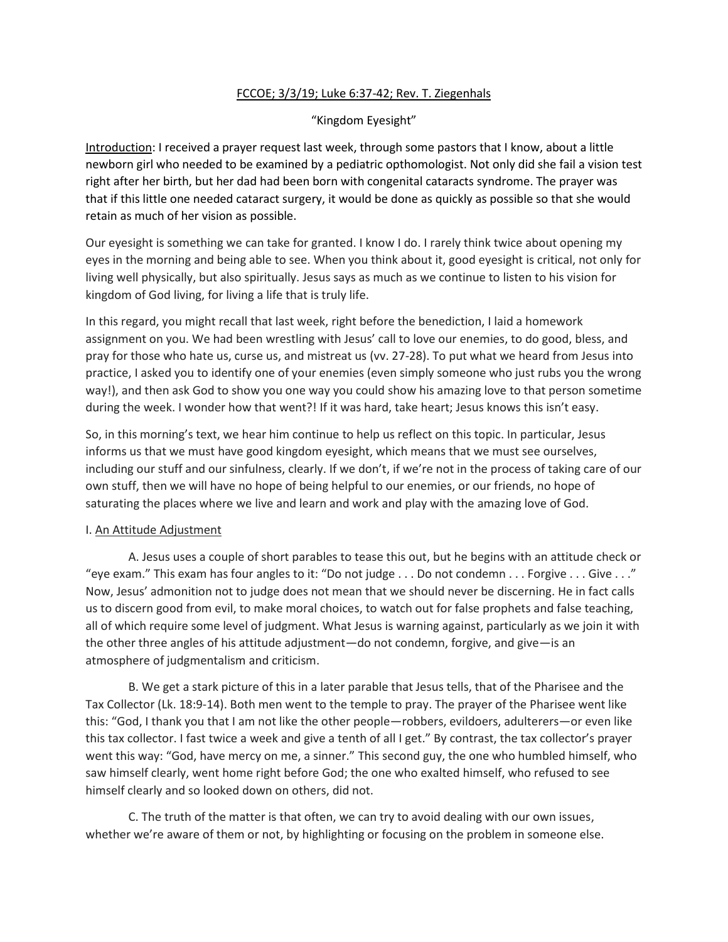## FCCOE; 3/3/19; Luke 6:37-42; Rev. T. Ziegenhals

# "Kingdom Eyesight"

Introduction: I received a prayer request last week, through some pastors that I know, about a little newborn girl who needed to be examined by a pediatric opthomologist. Not only did she fail a vision test right after her birth, but her dad had been born with congenital cataracts syndrome. The prayer was that if this little one needed cataract surgery, it would be done as quickly as possible so that she would retain as much of her vision as possible.

Our eyesight is something we can take for granted. I know I do. I rarely think twice about opening my eyes in the morning and being able to see. When you think about it, good eyesight is critical, not only for living well physically, but also spiritually. Jesus says as much as we continue to listen to his vision for kingdom of God living, for living a life that is truly life.

In this regard, you might recall that last week, right before the benediction, I laid a homework assignment on you. We had been wrestling with Jesus' call to love our enemies, to do good, bless, and pray for those who hate us, curse us, and mistreat us (vv. 27-28). To put what we heard from Jesus into practice, I asked you to identify one of your enemies (even simply someone who just rubs you the wrong way!), and then ask God to show you one way you could show his amazing love to that person sometime during the week. I wonder how that went?! If it was hard, take heart; Jesus knows this isn't easy.

So, in this morning's text, we hear him continue to help us reflect on this topic. In particular, Jesus informs us that we must have good kingdom eyesight, which means that we must see ourselves, including our stuff and our sinfulness, clearly. If we don't, if we're not in the process of taking care of our own stuff, then we will have no hope of being helpful to our enemies, or our friends, no hope of saturating the places where we live and learn and work and play with the amazing love of God.

### I. An Attitude Adjustment

A. Jesus uses a couple of short parables to tease this out, but he begins with an attitude check or "eye exam." This exam has four angles to it: "Do not judge  $\dots$  Do not condemn  $\dots$  Forgive  $\dots$  Give  $\dots$ ." Now, Jesus' admonition not to judge does not mean that we should never be discerning. He in fact calls us to discern good from evil, to make moral choices, to watch out for false prophets and false teaching, all of which require some level of judgment. What Jesus is warning against, particularly as we join it with the other three angles of his attitude adjustment—do not condemn, forgive, and give—is an atmosphere of judgmentalism and criticism.

B. We get a stark picture of this in a later parable that Jesus tells, that of the Pharisee and the Tax Collector (Lk. 18:9-14). Both men went to the temple to pray. The prayer of the Pharisee went like this: "God, I thank you that I am not like the other people—robbers, evildoers, adulterers—or even like this tax collector. I fast twice a week and give a tenth of all I get." By contrast, the tax collector's prayer went this way: "God, have mercy on me, a sinner." This second guy, the one who humbled himself, who saw himself clearly, went home right before God; the one who exalted himself, who refused to see himself clearly and so looked down on others, did not.

C. The truth of the matter is that often, we can try to avoid dealing with our own issues, whether we're aware of them or not, by highlighting or focusing on the problem in someone else.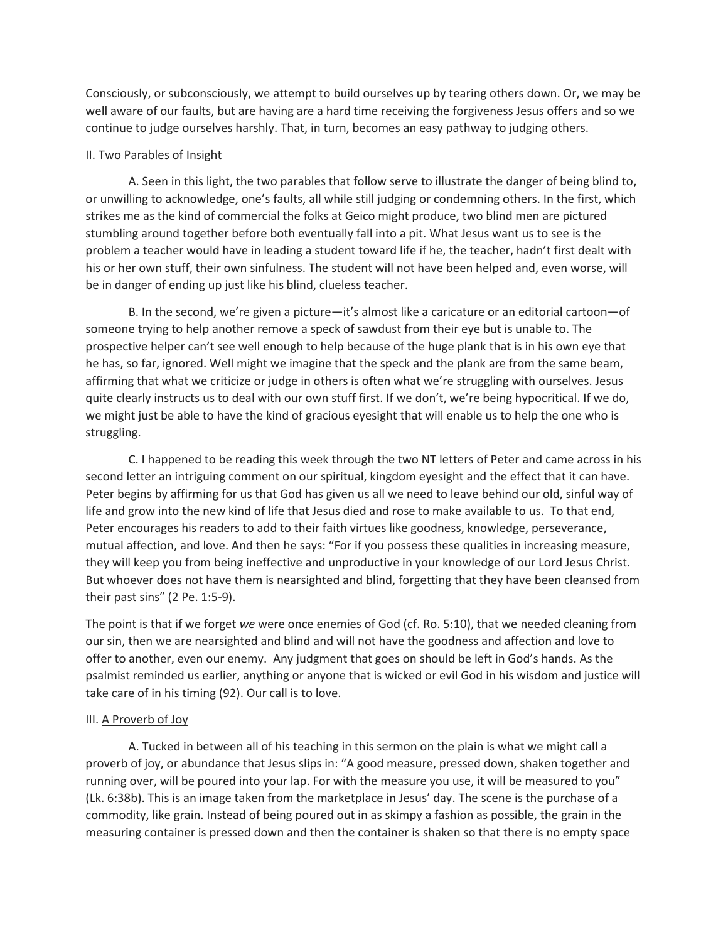Consciously, or subconsciously, we attempt to build ourselves up by tearing others down. Or, we may be well aware of our faults, but are having are a hard time receiving the forgiveness Jesus offers and so we continue to judge ourselves harshly. That, in turn, becomes an easy pathway to judging others.

#### II. Two Parables of Insight

A. Seen in this light, the two parables that follow serve to illustrate the danger of being blind to, or unwilling to acknowledge, one's faults, all while still judging or condemning others. In the first, which strikes me as the kind of commercial the folks at Geico might produce, two blind men are pictured stumbling around together before both eventually fall into a pit. What Jesus want us to see is the problem a teacher would have in leading a student toward life if he, the teacher, hadn't first dealt with his or her own stuff, their own sinfulness. The student will not have been helped and, even worse, will be in danger of ending up just like his blind, clueless teacher.

B. In the second, we're given a picture—it's almost like a caricature or an editorial cartoon—of someone trying to help another remove a speck of sawdust from their eye but is unable to. The prospective helper can't see well enough to help because of the huge plank that is in his own eye that he has, so far, ignored. Well might we imagine that the speck and the plank are from the same beam, affirming that what we criticize or judge in others is often what we're struggling with ourselves. Jesus quite clearly instructs us to deal with our own stuff first. If we don't, we're being hypocritical. If we do, we might just be able to have the kind of gracious eyesight that will enable us to help the one who is struggling.

C. I happened to be reading this week through the two NT letters of Peter and came across in his second letter an intriguing comment on our spiritual, kingdom eyesight and the effect that it can have. Peter begins by affirming for us that God has given us all we need to leave behind our old, sinful way of life and grow into the new kind of life that Jesus died and rose to make available to us. To that end, Peter encourages his readers to add to their faith virtues like goodness, knowledge, perseverance, mutual affection, and love. And then he says: "For if you possess these qualities in increasing measure, they will keep you from being ineffective and unproductive in your knowledge of our Lord Jesus Christ. But whoever does not have them is nearsighted and blind, forgetting that they have been cleansed from their past sins" (2 Pe. 1:5-9).

The point is that if we forget *we* were once enemies of God (cf. Ro. 5:10), that we needed cleaning from our sin, then we are nearsighted and blind and will not have the goodness and affection and love to offer to another, even our enemy. Any judgment that goes on should be left in God's hands. As the psalmist reminded us earlier, anything or anyone that is wicked or evil God in his wisdom and justice will take care of in his timing (92). Our call is to love.

### III. A Proverb of Joy

A. Tucked in between all of his teaching in this sermon on the plain is what we might call a proverb of joy, or abundance that Jesus slips in: "A good measure, pressed down, shaken together and running over, will be poured into your lap. For with the measure you use, it will be measured to you" (Lk. 6:38b). This is an image taken from the marketplace in Jesus' day. The scene is the purchase of a commodity, like grain. Instead of being poured out in as skimpy a fashion as possible, the grain in the measuring container is pressed down and then the container is shaken so that there is no empty space